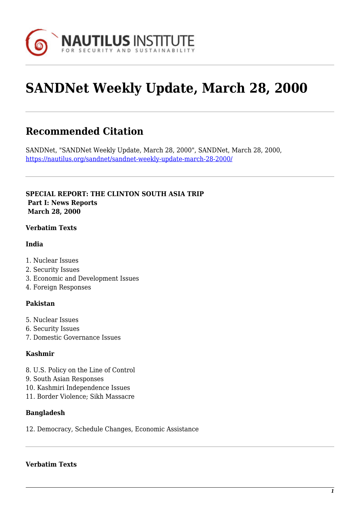

# **SANDNet Weekly Update, March 28, 2000**

# **Recommended Citation**

SANDNet, "SANDNet Weekly Update, March 28, 2000", SANDNet, March 28, 2000, <https://nautilus.org/sandnet/sandnet-weekly-update-march-28-2000/>

**SPECIAL REPORT: THE CLINTON SOUTH ASIA TRIP Part I: News Reports March 28, 2000**

#### **Verbatim Texts**

#### **India**

- 1. Nuclear Issues
- 2. Security Issues
- 3. Economic and Development Issues
- 4. Foreign Responses

# **Pakistan**

- 5. Nuclear Issues
- 6. Security Issues
- 7. Domestic Governance Issues

# **Kashmir**

- 8. U.S. Policy on the Line of Control
- 9. South Asian Responses
- 10. Kashmiri Independence Issues
- 11. Border Violence; Sikh Massacre

#### **Bangladesh**

12. Democracy, Schedule Changes, Economic Assistance

#### **Verbatim Texts**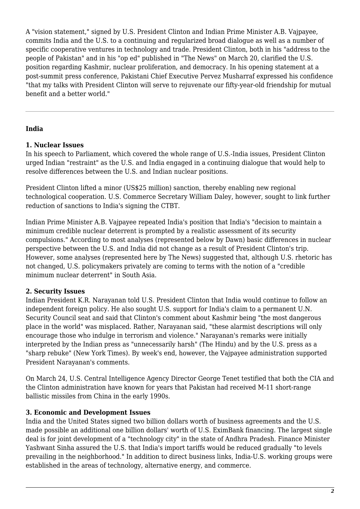A "vision statement," signed by U.S. President Clinton and Indian Prime Minister A.B. Vajpayee, commits India and the U.S. to a continuing and regularized broad dialogue as well as a number of specific cooperative ventures in technology and trade. President Clinton, both in his "address to the people of Pakistan" and in his "op ed" published in "The News" on March 20, clarified the U.S. position regarding Kashmir, nuclear proliferation, and democracy. In his opening statement at a post-summit press conference, Pakistani Chief Executive Pervez Musharraf expressed his confidence "that my talks with President Clinton will serve to rejuvenate our fifty-year-old friendship for mutual benefit and a better world."

# **India**

#### **1. Nuclear Issues**

In his speech to Parliament, which covered the whole range of U.S.-India issues, President Clinton urged Indian "restraint" as the U.S. and India engaged in a continuing dialogue that would help to resolve differences between the U.S. and Indian nuclear positions.

President Clinton lifted a minor (US\$25 million) sanction, thereby enabling new regional technological cooperation. U.S. Commerce Secretary William Daley, however, sought to link further reduction of sanctions to India's signing the CTBT.

Indian Prime Minister A.B. Vajpayee repeated India's position that India's "decision to maintain a minimum credible nuclear deterrent is prompted by a realistic assessment of its security compulsions." According to most analyses (represented below by Dawn) basic differences in nuclear perspective between the U.S. and India did not change as a result of President Clinton's trip. However, some analyses (represented here by The News) suggested that, although U.S. rhetoric has not changed, U.S. policymakers privately are coming to terms with the notion of a "credible minimum nuclear deterrent" in South Asia.

# **2. Security Issues**

Indian President K.R. Narayanan told U.S. President Clinton that India would continue to follow an independent foreign policy. He also sought U.S. support for India's claim to a permanent U.N. Security Council seat and said that Clinton's comment about Kashmir being "the most dangerous place in the world" was misplaced. Rather, Narayanan said, "these alarmist descriptions will only encourage those who indulge in terrorism and violence." Narayanan's remarks were initially interpreted by the Indian press as "unnecessarily harsh" (The Hindu) and by the U.S. press as a "sharp rebuke" (New York Times). By week's end, however, the Vajpayee administration supported President Narayanan's comments.

On March 24, U.S. Central Intelligence Agency Director George Tenet testified that both the CIA and the Clinton administration have known for years that Pakistan had received M-11 short-range ballistic missiles from China in the early 1990s.

# **3. Economic and Development Issues**

India and the United States signed two billion dollars worth of business agreements and the U.S. made possible an additional one billion dollars' worth of U.S. EximBank financing. The largest single deal is for joint development of a "technology city" in the state of Andhra Pradesh. Finance Minister Yashwant Sinha assured the U.S. that India's import tariffs would be reduced gradually "to levels prevailing in the neighborhood." In addition to direct business links, India-U.S. working groups were established in the areas of technology, alternative energy, and commerce.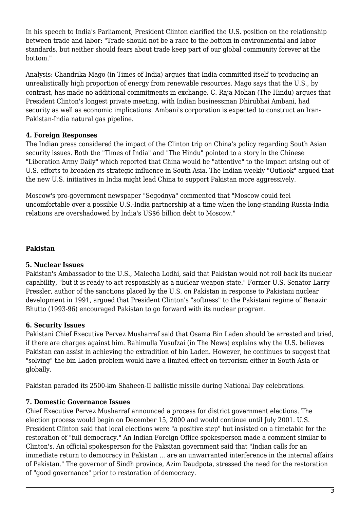In his speech to India's Parliament, President Clinton clarified the U.S. position on the relationship between trade and labor: "Trade should not be a race to the bottom in environmental and labor standards, but neither should fears about trade keep part of our global community forever at the bottom."

Analysis: Chandrika Mago (in Times of India) argues that India committed itself to producing an unrealistically high proportion of energy from renewable resources. Mago says that the U.S., by contrast, has made no additional commitments in exchange. C. Raja Mohan (The Hindu) argues that President Clinton's longest private meeting, with Indian businessman Dhirubhai Ambani, had security as well as economic implications. Ambani's corporation is expected to construct an Iran-Pakistan-India natural gas pipeline.

# **4. Foreign Responses**

The Indian press considered the impact of the Clinton trip on China's policy regarding South Asian security issues. Both the "Times of India" and "The Hindu" pointed to a story in the Chinese "Liberation Army Daily" which reported that China would be "attentive" to the impact arising out of U.S. efforts to broaden its strategic influence in South Asia. The Indian weekly "Outlook" argued that the new U.S. initiatives in India might lead China to support Pakistan more aggressively.

Moscow's pro-government newspaper "Segodnya" commented that "Moscow could feel uncomfortable over a possible U.S.-India partnership at a time when the long-standing Russia-India relations are overshadowed by India's US\$6 billion debt to Moscow."

# **Pakistan**

# **5. Nuclear Issues**

Pakistan's Ambassador to the U.S., Maleeha Lodhi, said that Pakistan would not roll back its nuclear capability, "but it is ready to act responsibly as a nuclear weapon state." Former U.S. Senator Larry Pressler, author of the sanctions placed by the U.S. on Pakistan in response to Pakistani nuclear development in 1991, argued that President Clinton's "softness" to the Pakistani regime of Benazir Bhutto (1993-96) encouraged Pakistan to go forward with its nuclear program.

# **6. Security Issues**

Pakistani Chief Executive Pervez Musharraf said that Osama Bin Laden should be arrested and tried, if there are charges against him. Rahimulla Yusufzai (in The News) explains why the U.S. believes Pakistan can assist in achieving the extradition of bin Laden. However, he continues to suggest that "solving" the bin Laden problem would have a limited effect on terrorism either in South Asia or globally.

Pakistan paraded its 2500-km Shaheen-II ballistic missile during National Day celebrations.

# **7. Domestic Governance Issues**

Chief Executive Pervez Musharraf announced a process for district government elections. The election process would begin on December 15, 2000 and would continue until July 2001. U.S. President Clinton said that local elections were "a positive step" but insisted on a timetable for the restoration of "full democracy." An Indian Foreign Office spokesperson made a comment similar to Clinton's. An official spokesperson for the Paksitan government said that "Indian calls for an immediate return to democracy in Pakistan ... are an unwarranted interference in the internal affairs of Pakistan." The governor of Sindh province, Azim Daudpota, stressed the need for the restoration of "good governance" prior to restoration of democracy.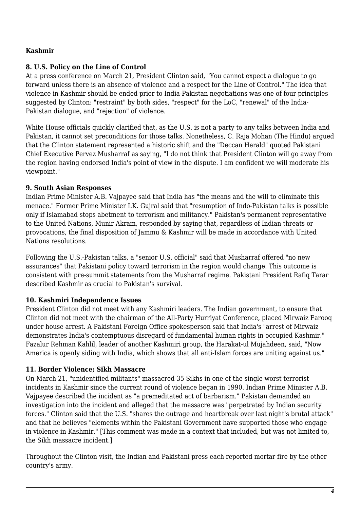# **Kashmir**

# **8. U.S. Policy on the Line of Control**

At a press conference on March 21, President Clinton said, "You cannot expect a dialogue to go forward unless there is an absence of violence and a respect for the Line of Control." The idea that violence in Kashmir should be ended prior to India-Pakistan negotiations was one of four principles suggested by Clinton: "restraint" by both sides, "respect" for the LoC, "renewal" of the India-Pakistan dialogue, and "rejection" of violence.

White House officials quickly clarified that, as the U.S. is not a party to any talks between India and Pakistan, it cannot set preconditions for those talks. Nonetheless, C. Raja Mohan (The Hindu) argued that the Clinton statement represented a historic shift and the "Deccan Herald" quoted Pakistani Chief Executive Pervez Musharraf as saying, "I do not think that President Clinton will go away from the region having endorsed India's point of view in the dispute. I am confident we will moderate his viewpoint."

# **9. South Asian Responses**

Indian Prime Minister A.B. Vajpayee said that India has "the means and the will to eliminate this menace." Former Prime Minister I.K. Gujral said that "resumption of Indo-Pakistan talks is possible only if Islamabad stops abetment to terrorism and militancy." Pakistan's permanent representative to the United Nations, Munir Akram, responded by saying that, regardless of Indian threats or provocations, the final disposition of Jammu & Kashmir will be made in accordance with United Nations resolutions.

Following the U.S.-Pakistan talks, a "senior U.S. official" said that Musharraf offered "no new assurances" that Pakistani policy toward terrorism in the region would change. This outcome is consistent with pre-summit statements from the Musharraf regime. Pakistani President Rafiq Tarar described Kashmir as crucial to Pakistan's survival.

# **10. Kashmiri Independence Issues**

President Clinton did not meet with any Kashmiri leaders. The Indian government, to ensure that Clinton did not meet with the chairman of the All-Party Hurriyat Conference, placed Mirwaiz Farooq under house arrest. A Pakistani Foreign Office spokesperson said that India's "arrest of Mirwaiz demonstrates India's contemptuous disregard of fundamental human rights in occupied Kashmir." Fazalur Rehman Kahlil, leader of another Kashmiri group, the Harakat-ul Mujahdeen, said, "Now America is openly siding with India, which shows that all anti-Islam forces are uniting against us."

# **11. Border Violence; Sikh Massacre**

On March 21, "unidentified militants" massacred 35 Sikhs in one of the single worst terrorist incidents in Kashmir since the current round of violence began in 1990. Indian Prime Minister A.B. Vajpayee described the incident as "a premeditated act of barbarism." Pakistan demanded an investigation into the incident and alleged that the massacre was "perpetrated by Indian security forces." Clinton said that the U.S. "shares the outrage and heartbreak over last night's brutal attack" and that he believes "elements within the Pakistani Government have supported those who engage in violence in Kashmir." [This comment was made in a context that included, but was not limited to, the Sikh massacre incident.]

Throughout the Clinton visit, the Indian and Pakistani press each reported mortar fire by the other country's army.